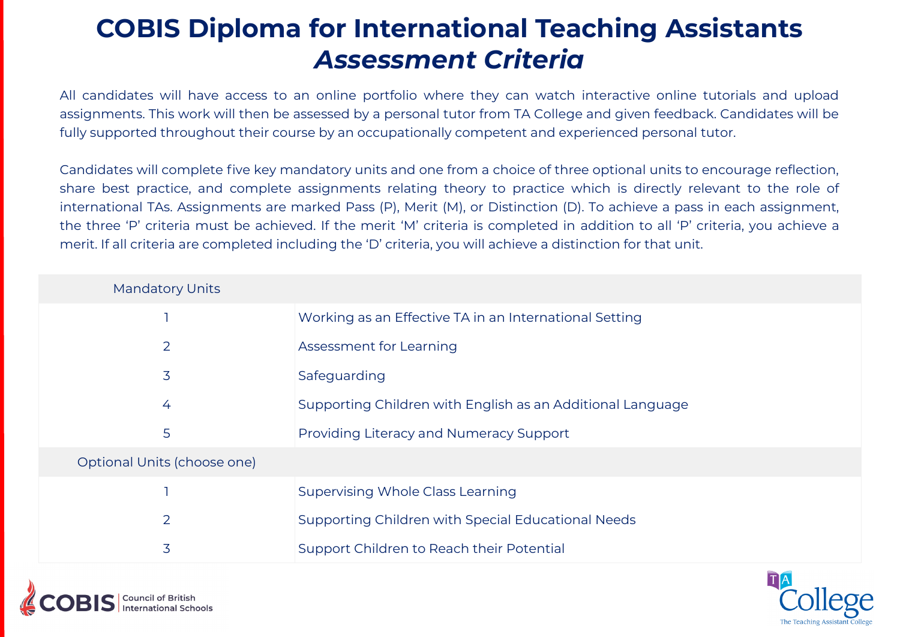### **COBIS Diploma for International Teaching Assistants** *Assessment Criteria*

All candidates will have access to an online portfolio where they can watch interactive online tutorials and upload assignments. This work will then be assessed by a personal tutor from TA College and given feedback. Candidates will be fully supported throughout their course by an occupationally competent and experienced personal tutor.

Candidates will complete five key mandatory units and one from a choice of three optional units to encourage reflection, share best practice, and complete assignments relating theory to practice which is directly relevant to the role of international TAs. Assignments are marked Pass (P), Merit (M), or Distinction (D). To achieve a pass in each assignment, the three 'P' criteria must be achieved. If the merit 'M' criteria is completed in addition to all 'P' criteria, you achieve a merit. If all criteria are completed including the 'D' criteria, you will achieve a distinction for that unit.

| <b>Mandatory Units</b>      |                                                            |
|-----------------------------|------------------------------------------------------------|
|                             | Working as an Effective TA in an International Setting     |
| $\overline{2}$              | Assessment for Learning                                    |
| 3                           | Safeguarding                                               |
| 4                           | Supporting Children with English as an Additional Language |
| 5                           | Providing Literacy and Numeracy Support                    |
| Optional Units (choose one) |                                                            |
|                             | <b>Supervising Whole Class Learning</b>                    |
| $\overline{2}$              | Supporting Children with Special Educational Needs         |
| 3                           | Support Children to Reach their Potential                  |

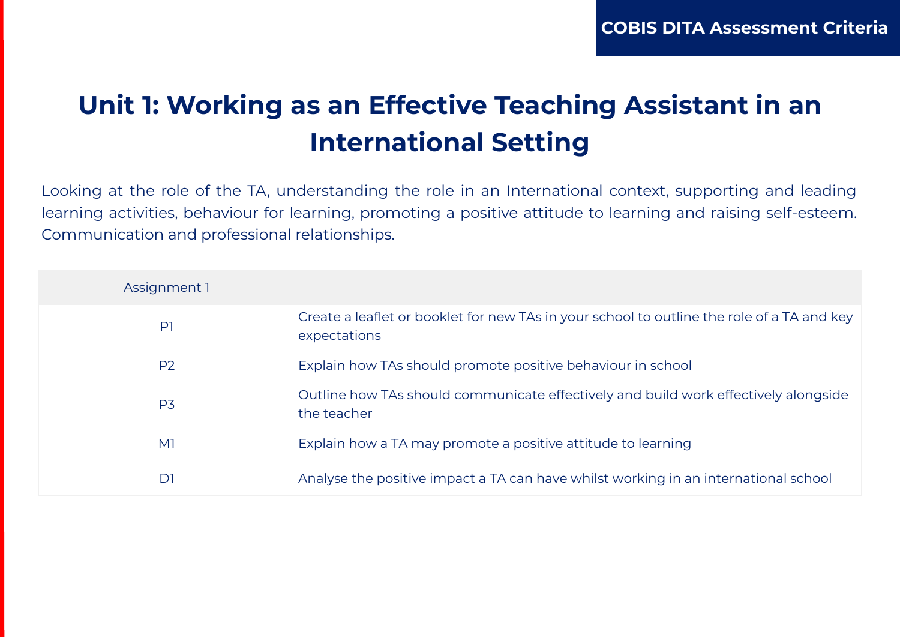# **Unit 1: Working as an Effective Teaching Assistant in an International Setting**

Looking at the role of the TA, understanding the role in an International context, supporting and leading learning activities, behaviour for learning, promoting a positive attitude to learning and raising self-esteem. Communication and professional relationships.

| Assignment 1   |                                                                                                            |
|----------------|------------------------------------------------------------------------------------------------------------|
| P              | Create a leaflet or booklet for new TAs in your school to outline the role of a TA and key<br>expectations |
| P <sub>2</sub> | Explain how TAs should promote positive behaviour in school                                                |
| P <sub>3</sub> | Outline how TAs should communicate effectively and build work effectively alongside<br>the teacher         |
| M <sub>1</sub> | Explain how a TA may promote a positive attitude to learning                                               |
| D1             | Analyse the positive impact a TA can have whilst working in an international school                        |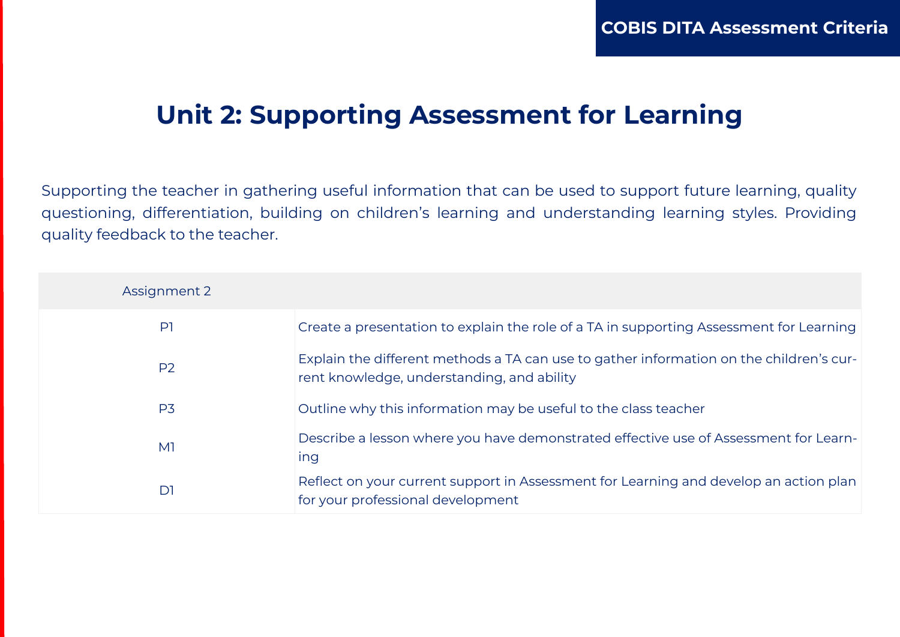#### **Unit 2: Supporting Assessment for Learning**

Supporting the teacher in gathering useful information that can be used to support future learning, quality questioning, differentiation, building on children's learning and understanding learning styles. Providing quality feedback to the teacher.

| Assignment 2   |                                                                                                                                       |
|----------------|---------------------------------------------------------------------------------------------------------------------------------------|
| P <sub>1</sub> | Create a presentation to explain the role of a TA in supporting Assessment for Learning                                               |
| P <sub>2</sub> | Explain the different methods a TA can use to gather information on the children's cur-<br>rent knowledge, understanding, and ability |
| P <sub>3</sub> | Outline why this information may be useful to the class teacher                                                                       |
| M <sup>1</sup> | Describe a lesson where you have demonstrated effective use of Assessment for Learn-<br>ing                                           |
| D <sub>1</sub> | Reflect on your current support in Assessment for Learning and develop an action plan<br>for your professional development            |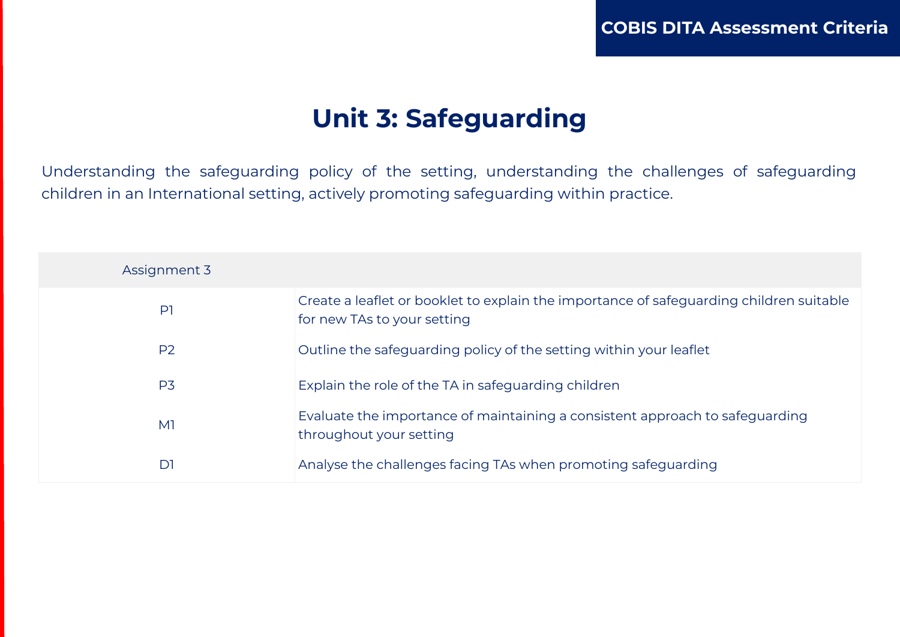### **Unit 3: Safeguarding**

Understanding the safeguarding policy of the setting, understanding the challenges of safeguarding children in an International setting, actively promoting safeguarding within practice.

| Assignment 3   |                                                                                                                        |
|----------------|------------------------------------------------------------------------------------------------------------------------|
| $\mathsf{P}$   | Create a leaflet or booklet to explain the importance of safeguarding children suitable<br>for new TAs to your setting |
| P2             | Outline the safeguarding policy of the setting within your leaflet                                                     |
| P <sub>3</sub> | Explain the role of the TA in safeguarding children                                                                    |
| M <sub>1</sub> | Evaluate the importance of maintaining a consistent approach to safeguarding<br>throughout your setting                |
| D <sub>1</sub> | Analyse the challenges facing TAs when promoting safeguarding                                                          |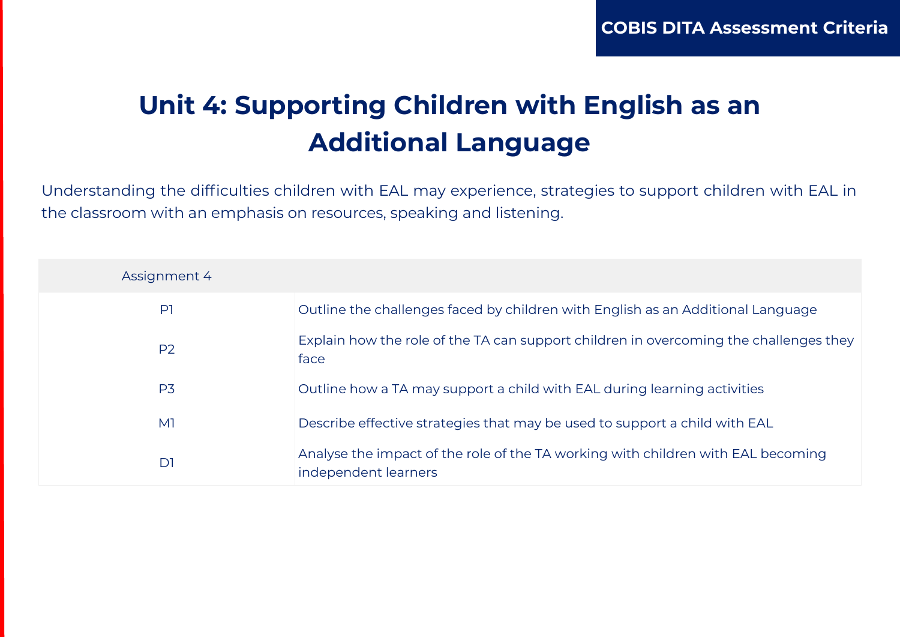# **Unit 4: Supporting Children with English as an Additional Language**

Understanding the difficulties children with EAL may experience, strategies to support children with EAL in the classroom with an emphasis on resources, speaking and listening.

| Assignment 4   |                                                                                                          |
|----------------|----------------------------------------------------------------------------------------------------------|
| P <sub>1</sub> | Outline the challenges faced by children with English as an Additional Language                          |
| P <sub>2</sub> | Explain how the role of the TA can support children in overcoming the challenges they<br>face            |
| P <sub>3</sub> | Outline how a TA may support a child with EAL during learning activities                                 |
| M <sub>1</sub> | Describe effective strategies that may be used to support a child with EAL                               |
| D <sub>1</sub> | Analyse the impact of the role of the TA working with children with EAL becoming<br>independent learners |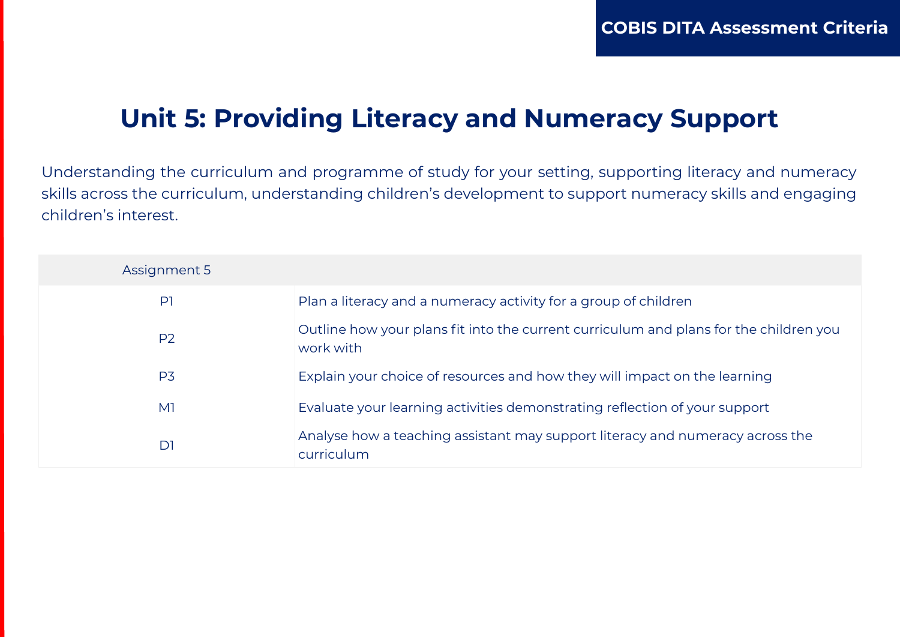## **Unit 5: Providing Literacy and Numeracy Support**

Understanding the curriculum and programme of study for your setting, supporting literacy and numeracy skills across the curriculum, understanding children's development to support numeracy skills and engaging children's interest.

| Assignment 5   |                                                                                                    |
|----------------|----------------------------------------------------------------------------------------------------|
| P <sub>1</sub> | Plan a literacy and a numeracy activity for a group of children                                    |
| P <sub>2</sub> | Outline how your plans fit into the current curriculum and plans for the children you<br>work with |
| P <sub>3</sub> | Explain your choice of resources and how they will impact on the learning                          |
| M <sup>1</sup> | Evaluate your learning activities demonstrating reflection of your support                         |
| D1             | Analyse how a teaching assistant may support literacy and numeracy across the<br>curriculum        |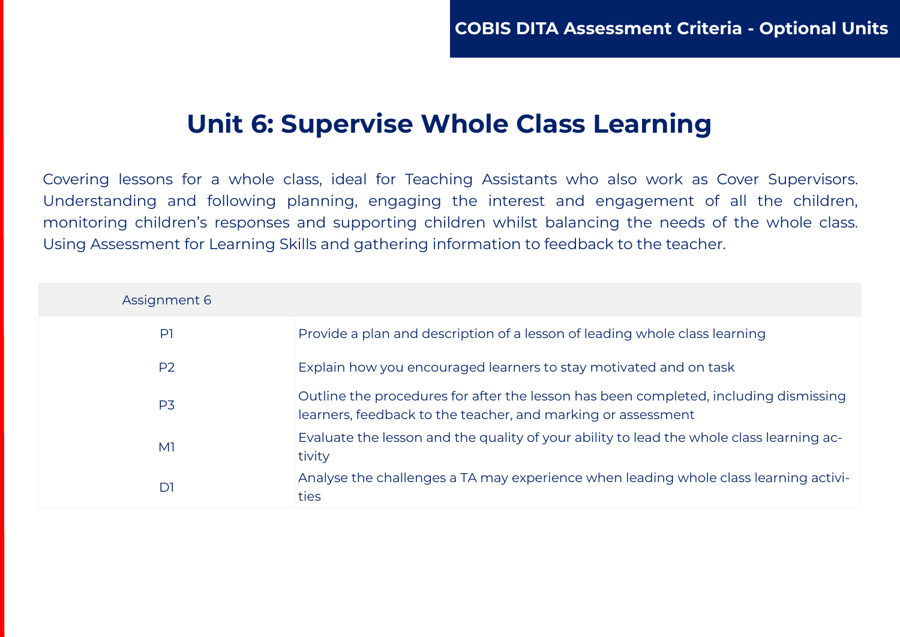#### **Unit 6: Supervise Whole Class Learning**

Covering lessons for a whole class, ideal for Teaching Assistants who also work as Cover Supervisors. Understanding and following planning, engaging the interest and engagement of all the children, monitoring children's responses and supporting children whilst balancing the needs of the whole class. Using Assessment for Learning Skills and gathering information to feedback to the teacher.

| Assignment 6   |                                                                                                                                                      |
|----------------|------------------------------------------------------------------------------------------------------------------------------------------------------|
| P <sub>1</sub> | Provide a plan and description of a lesson of leading whole class learning                                                                           |
| P <sub>2</sub> | Explain how you encouraged learners to stay motivated and on task                                                                                    |
| P <sub>3</sub> | Outline the procedures for after the lesson has been completed, including dismissing<br>learners, feedback to the teacher, and marking or assessment |
| M <sub>1</sub> | Evaluate the lesson and the quality of your ability to lead the whole class learning ac-<br>tivity                                                   |
| D1             | Analyse the challenges a TA may experience when leading whole class learning activi-<br>ties                                                         |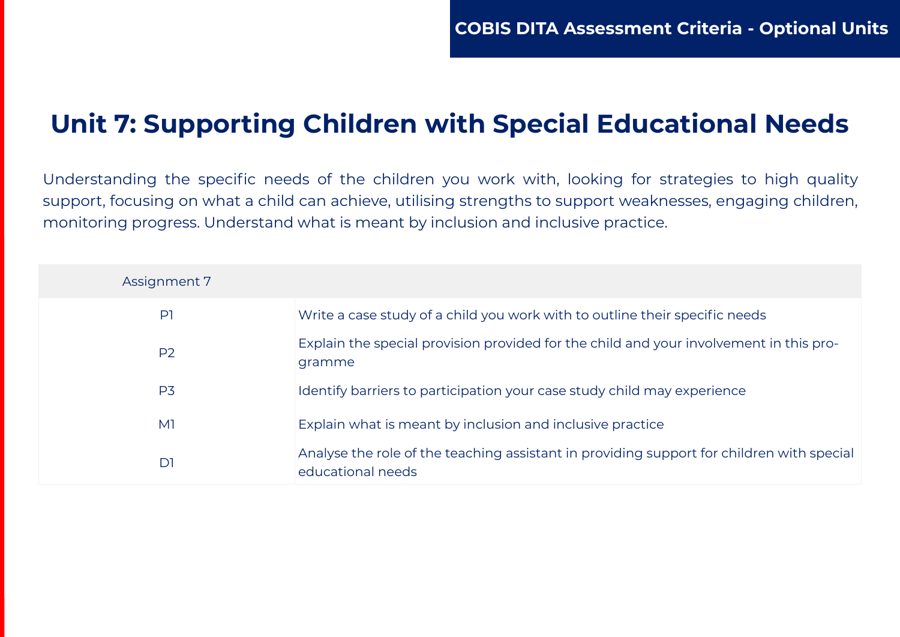## **Unit 7: Supporting Children with Special Educational Needs**

Understanding the specific needs of the children you work with, looking for strategies to high quality support, focusing on what a child can achieve, utilising strengths to support weaknesses, engaging children, monitoring progress. Understand what is meant by inclusion and inclusive practice.

| Assignment 7   |                                                                                                                |
|----------------|----------------------------------------------------------------------------------------------------------------|
| P <sub>1</sub> | Write a case study of a child you work with to outline their specific needs                                    |
| P <sub>2</sub> | Explain the special provision provided for the child and your involvement in this pro-<br>gramme               |
| P <sub>3</sub> | Identify barriers to participation your case study child may experience                                        |
| M <sub>1</sub> | Explain what is meant by inclusion and inclusive practice                                                      |
| D1             | Analyse the role of the teaching assistant in providing support for children with special<br>educational needs |